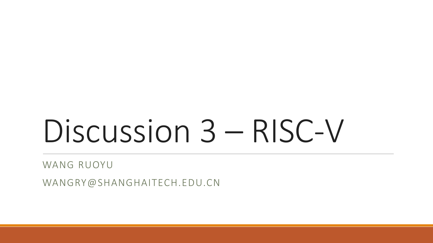# Discussion 3 – RISC-V

WANG RUOYU

WANGRY@SHANGHAITECH.EDU.CN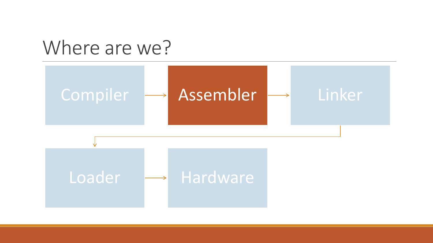

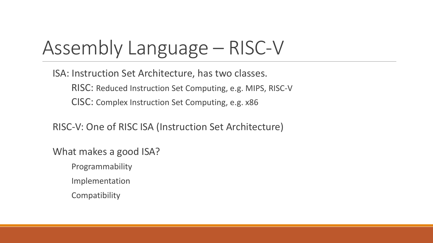# Assembly Language – RISC-V

ISA: Instruction Set Architecture, has two classes.

RISC: Reduced Instruction Set Computing, e.g. MIPS, RISC-V CISC: Complex Instruction Set Computing, e.g. x86

RISC-V: One of RISC ISA (Instruction Set Architecture)

What makes a good ISA?

Programmability

Implementation

**Compatibility**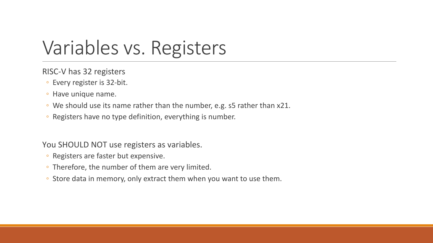### Variables vs. Registers

RISC-V has 32 registers

- Every register is 32-bit.
- Have unique name.
- We should use its name rather than the number, e.g. s5 rather than x21.
- Registers have no type definition, everything is number.

You SHOULD NOT use registers as variables.

- Registers are faster but expensive.
- Therefore, the number of them are very limited.
- Store data in memory, only extract them when you want to use them.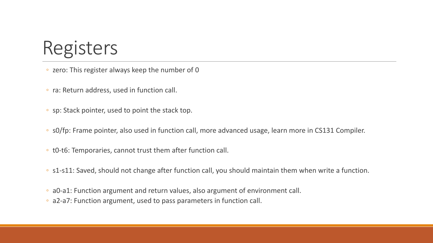#### Registers

- zero: This register always keep the number of 0
- ra: Return address, used in function call.
- sp: Stack pointer, used to point the stack top.
- s0/fp: Frame pointer, also used in function call, more advanced usage, learn more in CS131 Compiler.
- t0-t6: Temporaries, cannot trust them after function call.
- s1-s11: Saved, should not change after function call, you should maintain them when write a function.
- a0-a1: Function argument and return values, also argument of environment call.
- a2-a7: Function argument, used to pass parameters in function call.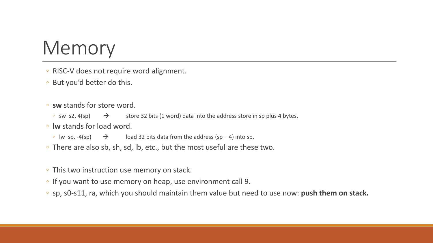# Memory

- RISC-V does not require word alignment.
- But you'd better do this.
- **sw** stands for store word.
	- sw s2, 4(sp)  $\rightarrow$  store 32 bits (1 word) data into the address store in sp plus 4 bytes.
- **lw** stands for load word.
	- Iw sp,  $-4(sp)$   $\rightarrow$  load 32 bits data from the address (sp 4) into sp.
- There are also sb, sh, sd, lb, etc., but the most useful are these two.
- This two instruction use memory on stack.
- If you want to use memory on heap, use environment call 9.
- sp, s0-s11, ra, which you should maintain them value but need to use now: **push them on stack.**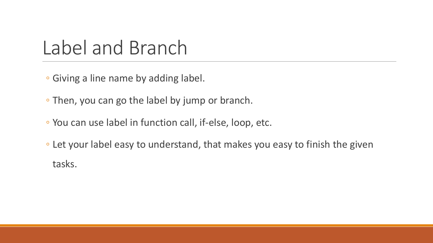### Label and Branch

◦ Giving a line name by adding label.

◦ Then, you can go the label by jump or branch.

- You can use label in function call, if-else, loop, etc.
- Let your label easy to understand, that makes you easy to finish the given tasks.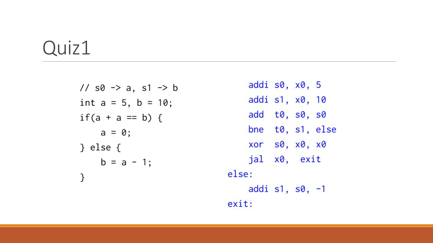#### Quiz1

//  $s0 \rightarrow a$ ,  $s1 \rightarrow b$ int  $a = 5$ ,  $b = 10$ ; if(a + a == b) {  $a = 0;$ } else  $\{$  $b = a - 1;$  $\mathcal{F}$ 

addi s0, x0, 5 addi s1, x0, 10 add t0, s0, s0 bne t0, s1, else xor s0, x0, x0 jal x0, exit else: addi s1, s0, -1 exit: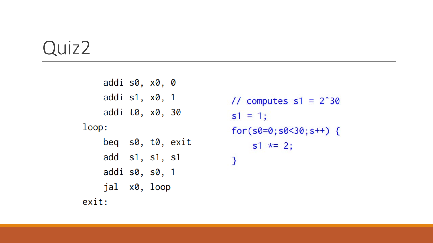#### Quiz2

```
addi s0, x0, 0
   addi s1, x0, 1
    addi t0, x0, 30
loop:
   beq s0, t0, exit
   add s1, s1, s1
   addi s0, s0, 1
    jal x0, loop
exit:
```
// computes  $s1 = 2^{\degree}30$  $s1 = 1;$  $for(s0=0;s0<30;s++)$  {  $s1 \star = 2;$ }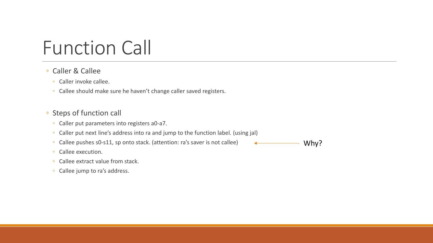# Function Call

#### ◦ Caller & Callee

- Caller invoke callee.
- Callee should make sure he haven't change caller saved registers.

#### ◦ Steps of function call

- Caller put parameters into registers a0-a7.
- Caller put next line's address into ra and jump to the function label. (using jal)
- Callee pushes s0-s11, sp onto stack. (attention: ra's saver is not callee)

Why?

- Callee execution.
- Callee extract value from stack.
- Callee jump to ra's address.